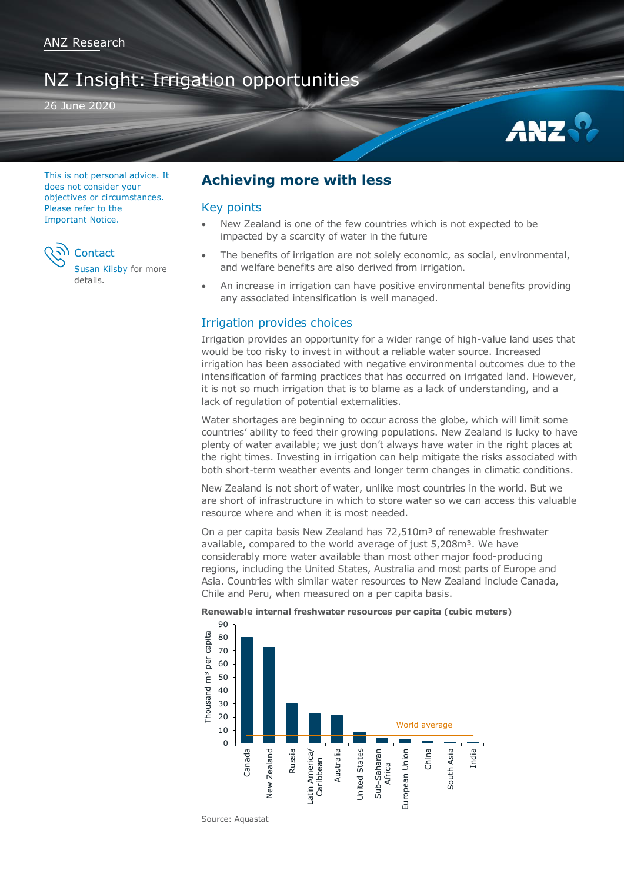# NZ Insight: Irrigation opportunities

26 June 2020



This is not personal advice. It does not consider your objectives or circumstances. Please refer to the [Important Notice.](#page-7-0)



[Susan Kilsby](#page-6-0) for more details.

# **Achieving more with less**

# Key points

- New Zealand is one of the few countries which is not expected to be impacted by a scarcity of water in the future
- The benefits of irrigation are not solely economic, as social, environmental, and welfare benefits are also derived from irrigation.
- An increase in irrigation can have positive environmental benefits providing any associated intensification is well managed.

# Irrigation provides choices

Irrigation provides an opportunity for a wider range of high-value land uses that would be too risky to invest in without a reliable water source. Increased irrigation has been associated with negative environmental outcomes due to the intensification of farming practices that has occurred on irrigated land. However, it is not so much irrigation that is to blame as a lack of understanding, and a lack of regulation of potential externalities.

Water shortages are beginning to occur across the globe, which will limit some countries' ability to feed their growing populations. New Zealand is lucky to have plenty of water available; we just don't always have water in the right places at the right times. Investing in irrigation can help mitigate the risks associated with both short-term weather events and longer term changes in climatic conditions.

New Zealand is not short of water, unlike most countries in the world. But we are short of infrastructure in which to store water so we can access this valuable resource where and when it is most needed.

On a per capita basis New Zealand has 72,510m<sup>3</sup> of renewable freshwater available, compared to the world average of just 5,208m<sup>3</sup>. We have considerably more water available than most other major food-producing regions, including the United States, Australia and most parts of Europe and Asia. Countries with similar water resources to New Zealand include Canada, Chile and Peru, when measured on a per capita basis.

### **Renewable internal freshwater resources per capita (cubic meters)**



Source: Aquastat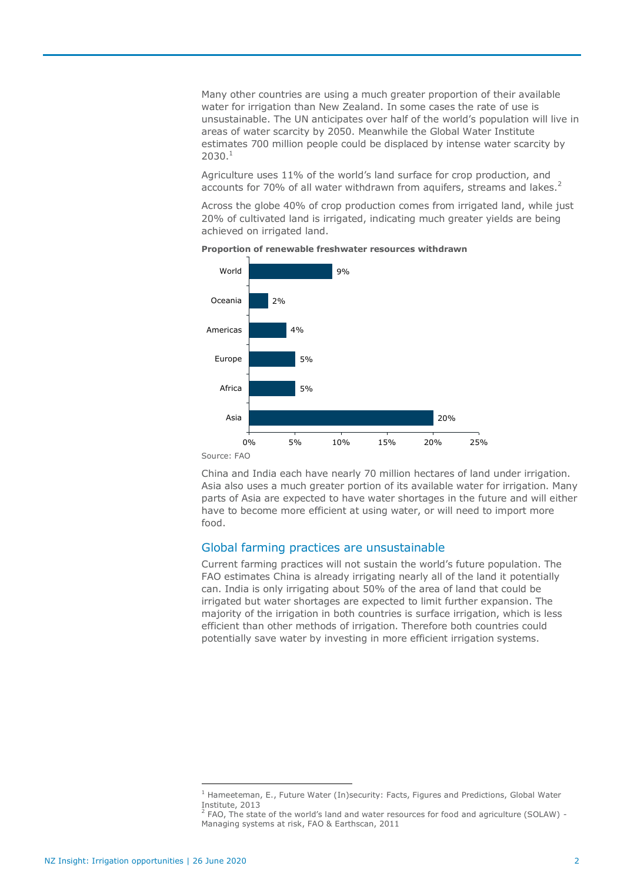Many other countries are using a much greater proportion of their available water for irrigation than New Zealand. In some cases the rate of use is unsustainable. The UN anticipates over half of the world's population will live in areas of water scarcity by 2050. Meanwhile the Global Water Institute estimates 700 million people could be displaced by intense water scarcity by  $2030.<sup>1</sup>$ 

Agriculture uses 11% of the world's land surface for crop production, and accounts for 70% of all water withdrawn from aquifers, streams and lakes.<sup>2</sup>

Across the globe 40% of crop production comes from irrigated land, while just 20% of cultivated land is irrigated, indicating much greater yields are being achieved on irrigated land.





China and India each have nearly 70 million hectares of land under irrigation. Asia also uses a much greater portion of its available water for irrigation. Many parts of Asia are expected to have water shortages in the future and will either have to become more efficient at using water, or will need to import more food.

# Global farming practices are unsustainable

Current farming practices will not sustain the world's future population. The FAO estimates China is already irrigating nearly all of the land it potentially can. India is only irrigating about 50% of the area of land that could be irrigated but water shortages are expected to limit further expansion. The majority of the irrigation in both countries is surface irrigation, which is less efficient than other methods of irrigation. Therefore both countries could potentially save water by investing in more efficient irrigation systems.

 $\overline{a}$ 

 $<sup>1</sup>$  Hameeteman, E., Future Water (In)security: Facts, Figures and Predictions, Global Water</sup> Institute, 2013

 $<sup>2</sup>$  FAO, The state of the world's land and water resources for food and agriculture (SOLAW) -</sup> Managing systems at risk, FAO & Earthscan, 2011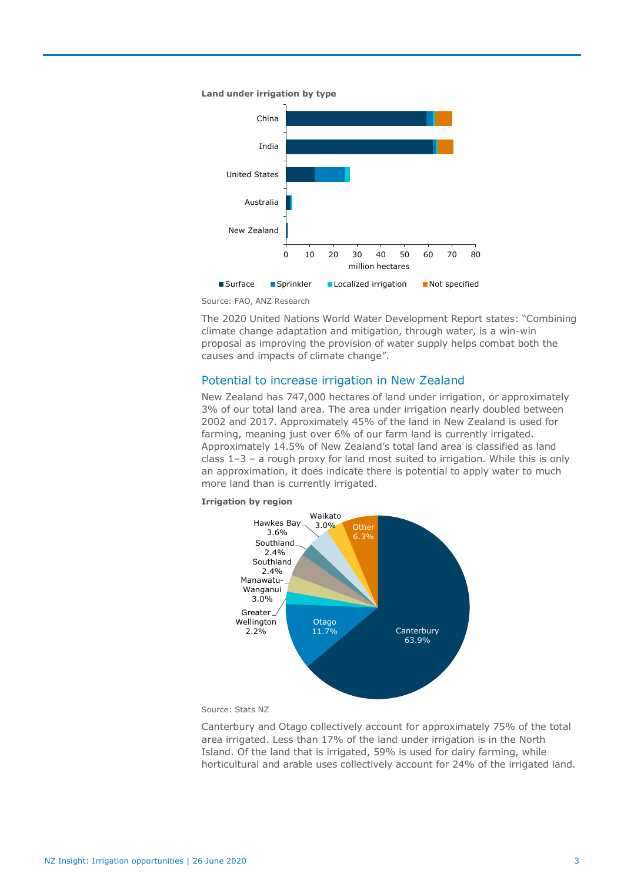

Source: FAO, ANZ Research

The 2020 United Nations World Water Development Report states: "Combining climate change adaptation and mitigation, through water, is a win-win proposal as improving the provision of water supply helps combat both the causes and impacts of climate change".

# Potential to increase irrigation in New Zealand

New Zealand has 747,000 hectares of land under irrigation, or approximately 3% of our total land area. The area under irrigation nearly doubled between 2002 and 2017. Approximately 45% of the land in New Zealand is used for farming, meaning just over 6% of our farm land is currently irrigated. Approximately 14.5% of New Zealand's total land area is classified as land class  $1-3$  – a rough proxy for land most suited to irrigation. While this is only an approximation, it does indicate there is potential to apply water to much more land than is currently irrigated.

#### **Irrigation by region**



#### Source: Stats NZ

Canterbury and Otago collectively account for approximately 75% of the total area irrigated. Less than 17% of the land under irrigation is in the North Island. Of the land that is irrigated, 59% is used for dairy farming, while horticultural and arable uses collectively account for 24% of the irrigated land.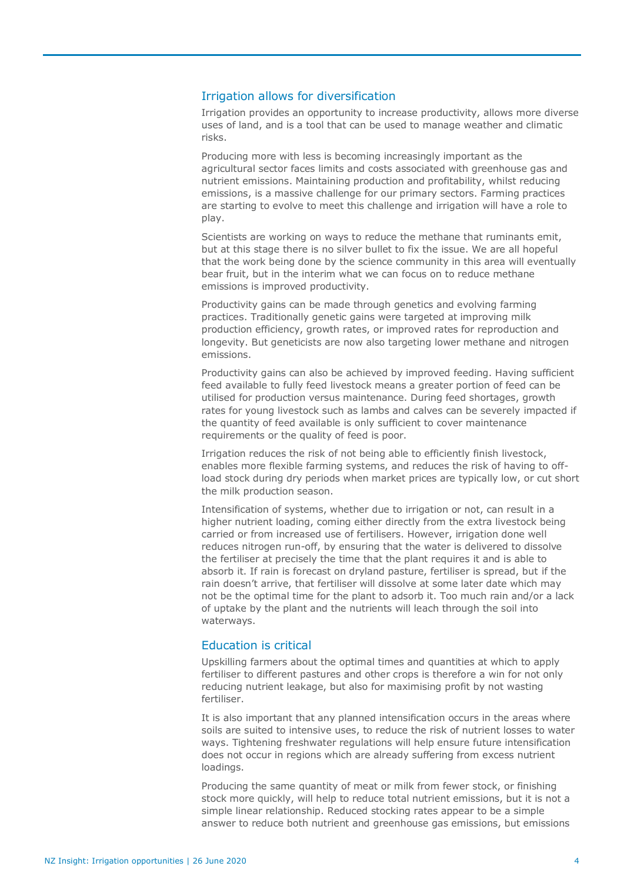# Irrigation allows for diversification

Irrigation provides an opportunity to increase productivity, allows more diverse uses of land, and is a tool that can be used to manage weather and climatic risks.

Producing more with less is becoming increasingly important as the agricultural sector faces limits and costs associated with greenhouse gas and nutrient emissions. Maintaining production and profitability, whilst reducing emissions, is a massive challenge for our primary sectors. Farming practices are starting to evolve to meet this challenge and irrigation will have a role to play.

Scientists are working on ways to reduce the methane that ruminants emit, but at this stage there is no silver bullet to fix the issue. We are all hopeful that the work being done by the science community in this area will eventually bear fruit, but in the interim what we can focus on to reduce methane emissions is improved productivity.

Productivity gains can be made through genetics and evolving farming practices. Traditionally genetic gains were targeted at improving milk production efficiency, growth rates, or improved rates for reproduction and longevity. But geneticists are now also targeting lower methane and nitrogen emissions.

Productivity gains can also be achieved by improved feeding. Having sufficient feed available to fully feed livestock means a greater portion of feed can be utilised for production versus maintenance. During feed shortages, growth rates for young livestock such as lambs and calves can be severely impacted if the quantity of feed available is only sufficient to cover maintenance requirements or the quality of feed is poor.

Irrigation reduces the risk of not being able to efficiently finish livestock, enables more flexible farming systems, and reduces the risk of having to offload stock during dry periods when market prices are typically low, or cut short the milk production season.

Intensification of systems, whether due to irrigation or not, can result in a higher nutrient loading, coming either directly from the extra livestock being carried or from increased use of fertilisers. However, irrigation done well reduces nitrogen run-off, by ensuring that the water is delivered to dissolve the fertiliser at precisely the time that the plant requires it and is able to absorb it. If rain is forecast on dryland pasture, fertiliser is spread, but if the rain doesn't arrive, that fertiliser will dissolve at some later date which may not be the optimal time for the plant to adsorb it. Too much rain and/or a lack of uptake by the plant and the nutrients will leach through the soil into waterways.

## Education is critical

Upskilling farmers about the optimal times and quantities at which to apply fertiliser to different pastures and other crops is therefore a win for not only reducing nutrient leakage, but also for maximising profit by not wasting fertiliser.

It is also important that any planned intensification occurs in the areas where soils are suited to intensive uses, to reduce the risk of nutrient losses to water ways. Tightening freshwater regulations will help ensure future intensification does not occur in regions which are already suffering from excess nutrient loadings.

Producing the same quantity of meat or milk from fewer stock, or finishing stock more quickly, will help to reduce total nutrient emissions, but it is not a simple linear relationship. Reduced stocking rates appear to be a simple answer to reduce both nutrient and greenhouse gas emissions, but emissions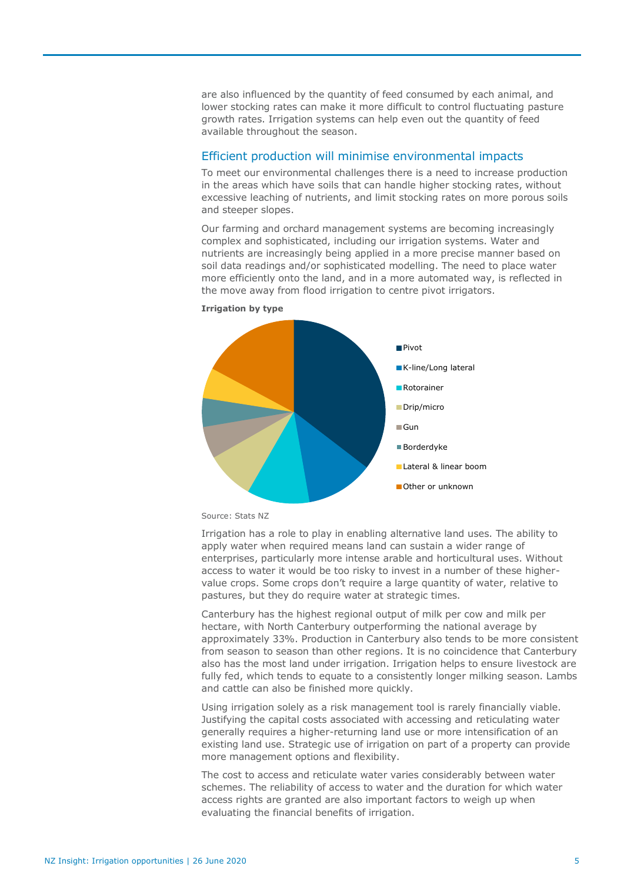are also influenced by the quantity of feed consumed by each animal, and lower stocking rates can make it more difficult to control fluctuating pasture growth rates. Irrigation systems can help even out the quantity of feed available throughout the season.

# Efficient production will minimise environmental impacts

To meet our environmental challenges there is a need to increase production in the areas which have soils that can handle higher stocking rates, without excessive leaching of nutrients, and limit stocking rates on more porous soils and steeper slopes.

Our farming and orchard management systems are becoming increasingly complex and sophisticated, including our irrigation systems. Water and nutrients are increasingly being applied in a more precise manner based on soil data readings and/or sophisticated modelling. The need to place water more efficiently onto the land, and in a more automated way, is reflected in the move away from flood irrigation to centre pivot irrigators.



#### **Irrigation by type**

Irrigation has a role to play in enabling alternative land uses. The ability to apply water when required means land can sustain a wider range of enterprises, particularly more intense arable and horticultural uses. Without access to water it would be too risky to invest in a number of these highervalue crops. Some crops don't require a large quantity of water, relative to pastures, but they do require water at strategic times.

Canterbury has the highest regional output of milk per cow and milk per hectare, with North Canterbury outperforming the national average by approximately 33%. Production in Canterbury also tends to be more consistent from season to season than other regions. It is no coincidence that Canterbury also has the most land under irrigation. Irrigation helps to ensure livestock are fully fed, which tends to equate to a consistently longer milking season. Lambs and cattle can also be finished more quickly.

Using irrigation solely as a risk management tool is rarely financially viable. Justifying the capital costs associated with accessing and reticulating water generally requires a higher-returning land use or more intensification of an existing land use. Strategic use of irrigation on part of a property can provide more management options and flexibility.

The cost to access and reticulate water varies considerably between water schemes. The reliability of access to water and the duration for which water access rights are granted are also important factors to weigh up when evaluating the financial benefits of irrigation.

Source: Stats NZ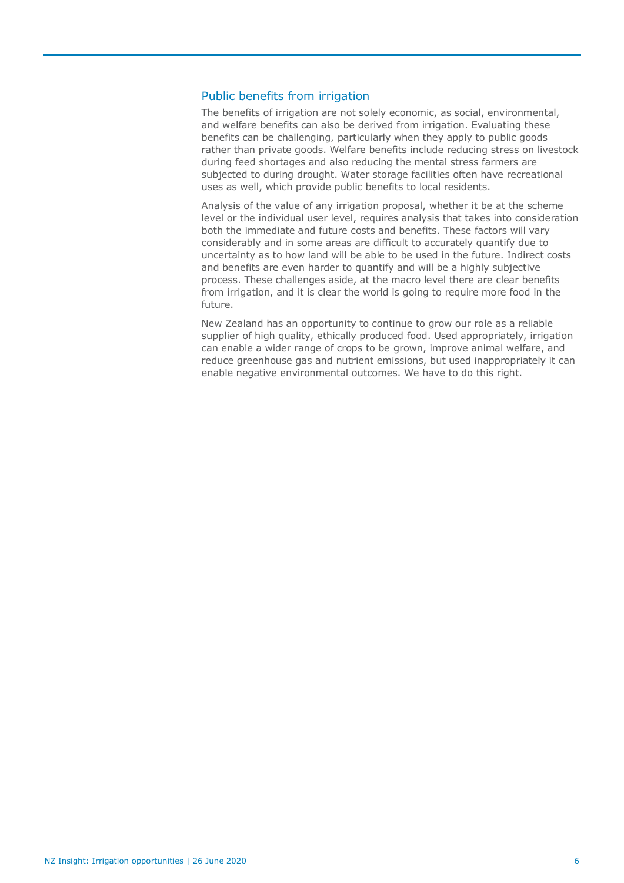# Public benefits from irrigation

The benefits of irrigation are not solely economic, as social, environmental, and welfare benefits can also be derived from irrigation. Evaluating these benefits can be challenging, particularly when they apply to public goods rather than private goods. Welfare benefits include reducing stress on livestock during feed shortages and also reducing the mental stress farmers are subjected to during drought. Water storage facilities often have recreational uses as well, which provide public benefits to local residents.

Analysis of the value of any irrigation proposal, whether it be at the scheme level or the individual user level, requires analysis that takes into consideration both the immediate and future costs and benefits. These factors will vary considerably and in some areas are difficult to accurately quantify due to uncertainty as to how land will be able to be used in the future. Indirect costs and benefits are even harder to quantify and will be a highly subjective process. These challenges aside, at the macro level there are clear benefits from irrigation, and it is clear the world is going to require more food in the future.

New Zealand has an opportunity to continue to grow our role as a reliable supplier of high quality, ethically produced food. Used appropriately, irrigation can enable a wider range of crops to be grown, improve animal welfare, and reduce greenhouse gas and nutrient emissions, but used inappropriately it can enable negative environmental outcomes. We have to do this right.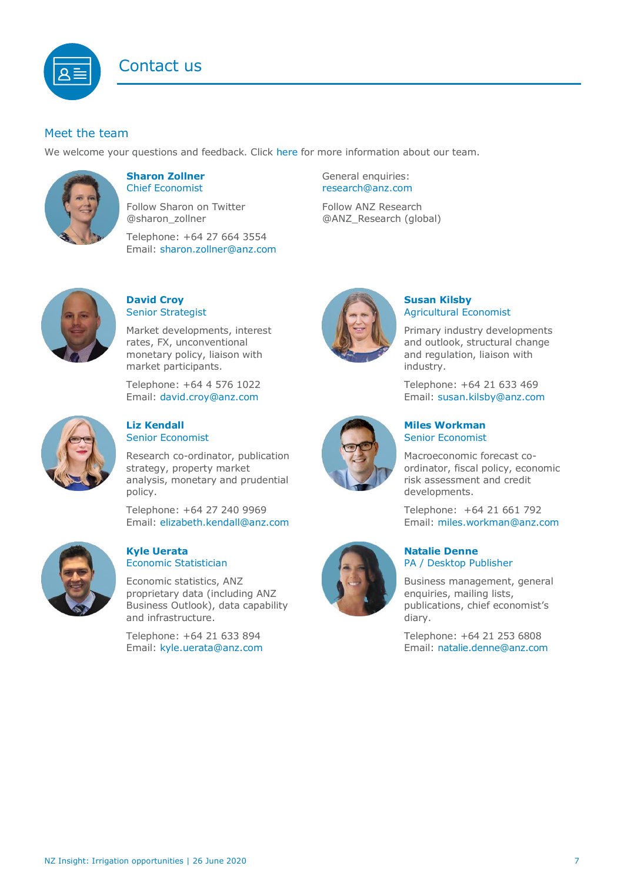<span id="page-6-0"></span>

# Meet the team

We welcome your questions and feedback. Click [here](https://www.anz.co.nz/about-us/economic-markets-research/economics-research-team/) for more information about our team.



# **Sharon Zollner** Chief Economist

Follow Sharon on Twitter @sharon\_zollner

Telephone: +64 27 664 3554 Email: [sharon.zollner@anz.com](mailto:sharon.zollner@anz.com) General enquiries: [research@anz.com](mailto:research@anz.com)

Follow ANZ Research @ANZ\_Research (global)



# **David Croy** Senior Strategist

Market developments, interest rates, FX, unconventional monetary policy, liaison with market participants.

Telephone: +64 4 576 1022 Email: [david.croy@anz.com](mailto:david.croy@anz.com)



# **Liz Kendall**  Senior Economist

Research co-ordinator, publication strategy, property market analysis, monetary and prudential policy.

Telephone: +64 27 240 9969 Email: [elizabeth.kendall@anz.com](mailto:Elizabeth.Kendall@anz.com)



### **Kyle Uerata** Economic Statistician

Economic statistics, ANZ proprietary data (including ANZ Business Outlook), data capability and infrastructure.

Telephone: +64 21 633 894 Email: [kyle.uerata@anz.com](mailto:Kyle.Uerata@anz.com)



# **Susan Kilsby** Agricultural Economist

Primary industry developments and outlook, structural change and regulation, liaison with industry.

Telephone: +64 21 633 469 Email: [susan.kilsby@anz.com](mailto:susan.kilsby@anz.com)



# **Miles Workman**  Senior Economist

Macroeconomic forecast coordinator, fiscal policy, economic risk assessment and credit developments.

Telephone: +64 21 661 792 Email: [miles.workman@anz.com](mailto:miles.workman@anz.com)

# **Natalie Denne** PA / Desktop Publisher

Business management, general enquiries, mailing lists, publications, chief economist's diary.

Telephone: +64 21 253 6808 Email: [natalie.denne@anz.com](mailto:natalie.denne@anz.com)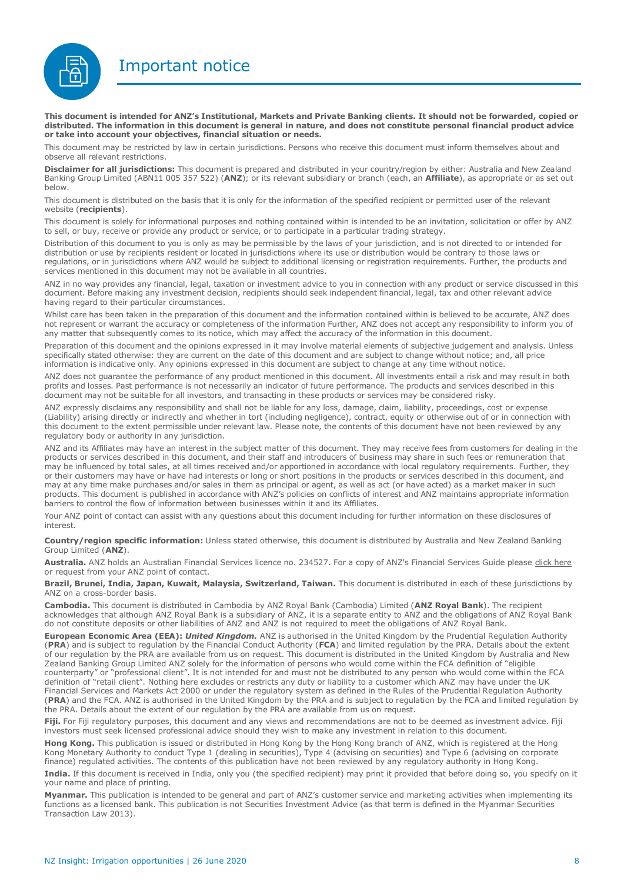Important notice

<span id="page-7-0"></span>

This document is intended for ANZ's Institutional, Markets and Private Banking clients. It should not be forwarded, copied or distributed. The information in this document is general in nature, and does not constitute personal financial product advice **or take into account your objectives, financial situation or needs.**

This document may be restricted by law in certain jurisdictions. Persons who receive this document must inform themselves about and observe all relevant restrictions.

**Disclaimer for all jurisdictions:** This document is prepared and distributed in your country/region by either: Australia and New Zealand Banking Group Limited (ABN11 005 357 522) (**ANZ**); or its relevant subsidiary or branch (each, an **Affiliate**), as appropriate or as set out below.

This document is distributed on the basis that it is only for the information of the specified recipient or permitted user of the relevant website (**recipients**).

This document is solely for informational purposes and nothing contained within is intended to be an invitation, solicitation or offer by ANZ to sell, or buy, receive or provide any product or service, or to participate in a particular trading strategy.

Distribution of this document to you is only as may be permissible by the laws of your jurisdiction, and is not directed to or intended for distribution or use by recipients resident or located in jurisdictions where its use or distribution would be contrary to those laws or regulations, or in jurisdictions where ANZ would be subject to additional licensing or registration requirements. Further, the products and services mentioned in this document may not be available in all countries.

ANZ in no way provides any financial, legal, taxation or investment advice to you in connection with any product or service discussed in this document. Before making any investment decision, recipients should seek independent financial, legal, tax and other relevant advice having regard to their particular circumstances.

Whilst care has been taken in the preparation of this document and the information contained within is believed to be accurate, ANZ does not represent or warrant the accuracy or completeness of the information Further, ANZ does not accept any responsibility to inform you of any matter that subsequently comes to its notice, which may affect the accuracy of the information in this document.

Preparation of this document and the opinions expressed in it may involve material elements of subjective judgement and analysis. Unless specifically stated otherwise: they are current on the date of this document and are subject to change without notice; and, all price information is indicative only. Any opinions expressed in this document are subject to change at any time without notice.

ANZ does not guarantee the performance of any product mentioned in this document. All investments entail a risk and may result in both profits and losses. Past performance is not necessarily an indicator of future performance. The products and services described in this document may not be suitable for all investors, and transacting in these products or services may be considered risky.

ANZ expressly disclaims any responsibility and shall not be liable for any loss, damage, claim, liability, proceedings, cost or expense (Liability) arising directly or indirectly and whether in tort (including negligence), contract, equity or otherwise out of or in connection with this document to the extent permissible under relevant law. Please note, the contents of this document have not been reviewed by any regulatory body or authority in any jurisdiction.

ANZ and its Affiliates may have an interest in the subject matter of this document. They may receive fees from customers for dealing in the products or services described in this document, and their staff and introducers of business may share in such fees or remuneration that may be influenced by total sales, at all times received and/or apportioned in accordance with local regulatory requirements. Further, they or their customers may have or have had interests or long or short positions in the products or services described in this document, and may at any time make purchases and/or sales in them as principal or agent, as well as act (or have acted) as a market maker in such products. This document is published in accordance with ANZ's policies on conflicts of interest and ANZ maintains appropriate information barriers to control the flow of information between businesses within it and its Affiliates.

Your ANZ point of contact can assist with any questions about this document including for further information on these disclosures of interest.

**Country/region specific information:** Unless stated otherwise, this document is distributed by Australia and New Zealand Banking Group Limited (**ANZ**).

**Australia.** ANZ holds an Australian Financial Services licence no. 234527. For a copy of ANZ's Financial Services Guide please [click here](http://www.anz.com/documents/AU/aboutANZ/FinancialServicesGuide.pdf) or request from your ANZ point of contact.

**Brazil, Brunei, India, Japan, Kuwait, Malaysia, Switzerland, Taiwan.** This document is distributed in each of these jurisdictions by ANZ on a cross-border basis.

**Cambodia.** This document is distributed in Cambodia by ANZ Royal Bank (Cambodia) Limited (**ANZ Royal Bank**). The recipient acknowledges that although ANZ Royal Bank is a subsidiary of ANZ, it is a separate entity to ANZ and the obligations of ANZ Royal Bank do not constitute deposits or other liabilities of ANZ and ANZ is not required to meet the obligations of ANZ Royal Bank.

**European Economic Area (EEA):** *United Kingdom.* ANZ is authorised in the United Kingdom by the Prudential Regulation Authority (**PRA**) and is subject to regulation by the Financial Conduct Authority (**FCA**) and limited regulation by the PRA. Details about the extent of our regulation by the PRA are available from us on request. This document is distributed in the United Kingdom by Australia and New Zealand Banking Group Limited ANZ solely for the information of persons who would come within the FCA definition of "eligible counterparty" or "professional client". It is not intended for and must not be distributed to any person who would come within the FCA definition of "retail client". Nothing here excludes or restricts any duty or liability to a customer which ANZ may have under the UK Financial Services and Markets Act 2000 or under the regulatory system as defined in the Rules of the Prudential Regulation Authority (**PRA**) and the FCA. ANZ is authorised in the United Kingdom by the PRA and is subject to regulation by the FCA and limited regulation by the PRA. Details about the extent of our regulation by the PRA are available from us on request.

**Fiji.** For Fiji regulatory purposes, this document and any views and recommendations are not to be deemed as investment advice. Fiji investors must seek licensed professional advice should they wish to make any investment in relation to this document.

**Hong Kong.** This publication is issued or distributed in Hong Kong by the Hong Kong branch of ANZ, which is registered at the Hong Kong Monetary Authority to conduct Type 1 (dealing in securities), Type 4 (advising on securities) and Type 6 (advising on corporate finance) regulated activities. The contents of this publication have not been reviewed by any regulatory authority in Hong Kong.

**India.** If this document is received in India, only you (the specified recipient) may print it provided that before doing so, you specify on it your name and place of printing.

**Myanmar.** This publication is intended to be general and part of ANZ's customer service and marketing activities when implementing its functions as a licensed bank. This publication is not Securities Investment Advice (as that term is defined in the Myanmar Securities Transaction Law 2013).